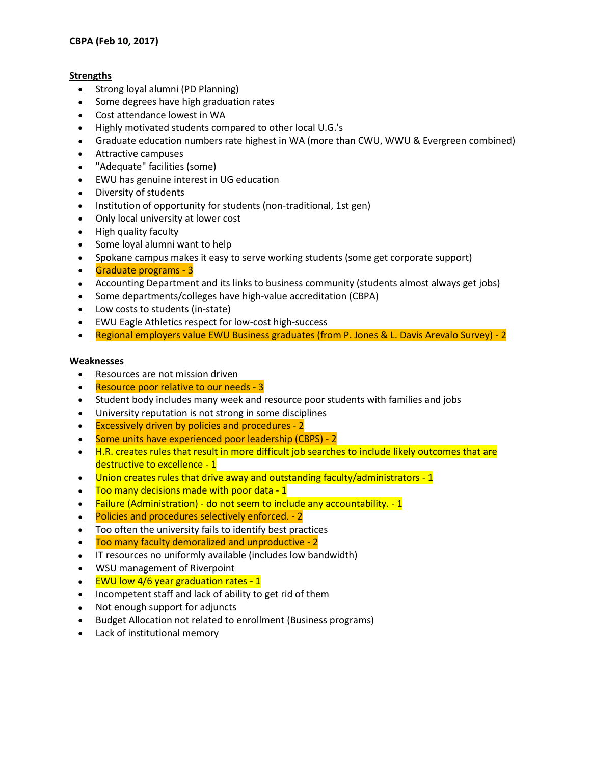## **Strengths**

- Strong loyal alumni (PD Planning)
- Some degrees have high graduation rates
- Cost attendance lowest in WA
- Highly motivated students compared to other local U.G.'s
- Graduate education numbers rate highest in WA (more than CWU, WWU & Evergreen combined)
- Attractive campuses
- "Adequate" facilities (some)
- EWU has genuine interest in UG education
- Diversity of students
- Institution of opportunity for students (non-traditional, 1st gen)
- Only local university at lower cost
- High quality faculty
- Some loyal alumni want to help
- Spokane campus makes it easy to serve working students (some get corporate support)
- Graduate programs 3
- Accounting Department and its links to business community (students almost always get jobs)
- Some departments/colleges have high-value accreditation (CBPA)
- Low costs to students (in-state)
- EWU Eagle Athletics respect for low-cost high-success
- Regional employers value EWU Business graduates (from P. Jones & L. Davis Arevalo Survey) 2

## **Weaknesses**

- Resources are not mission driven
- Resource poor relative to our needs 3
- Student body includes many week and resource poor students with families and jobs
- University reputation is not strong in some disciplines
- Excessively driven by policies and procedures 2
- Some units have experienced poor leadership (CBPS) 2
- H.R. creates rules that result in more difficult job searches to include likely outcomes that are destructive to excellence - 1
- Union creates rules that drive away and outstanding faculty/administrators 1
- Too many decisions made with poor data 1
- Failure (Administration) do not seem to include any accountability. 1
- Policies and procedures selectively enforced. 2
- Too often the university fails to identify best practices
- Too many faculty demoralized and unproductive 2
- IT resources no uniformly available (includes low bandwidth)
- WSU management of Riverpoint
- $\bullet$  EWU low 4/6 year graduation rates 1
- Incompetent staff and lack of ability to get rid of them
- Not enough support for adjuncts
- Budget Allocation not related to enrollment (Business programs)
- Lack of institutional memory